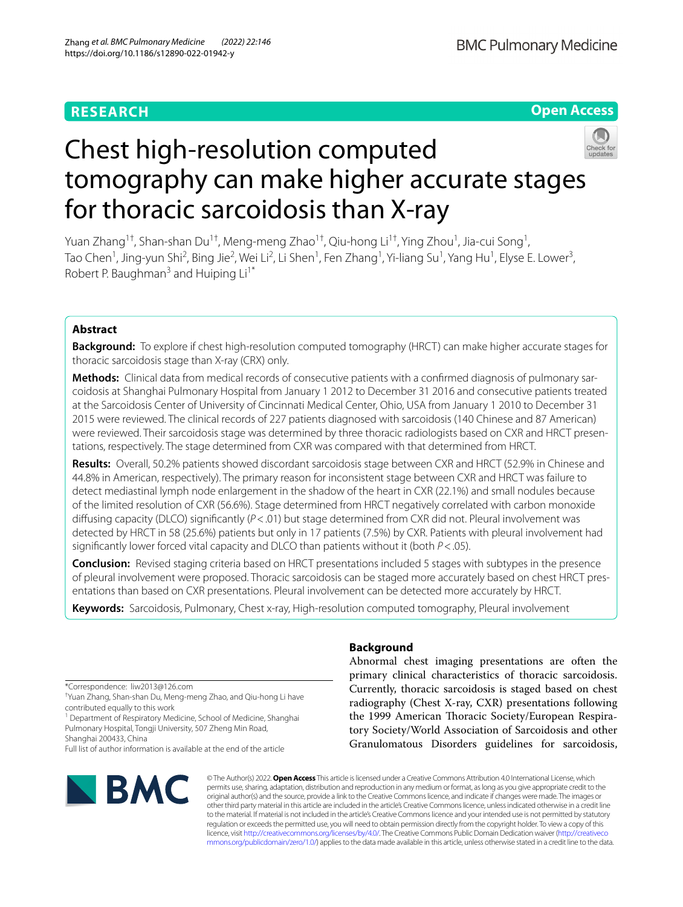## **RESEARCH**

**Open Access**

# Chest high-resolution computed tomography can make higher accurate stages for thoracic sarcoidosis than X-ray

Yuan Zhang<sup>1†</sup>, Shan-shan Du<sup>1†</sup>, Meng-meng Zhao<sup>1†</sup>, Qiu-hong Li<sup>1†</sup>, Ying Zhou<sup>1</sup>, Jia-cui Song<sup>1</sup>, Tao Chen<sup>1</sup>, Jing-yun Shi<sup>2</sup>, Bing Jie<sup>2</sup>, Wei Li<sup>2</sup>, Li Shen<sup>1</sup>, Fen Zhang<sup>1</sup>, Yi-liang Su<sup>1</sup>, Yang Hu<sup>1</sup>, Elyse E. Lower<sup>3</sup>, Robert P. Baughman<sup>3</sup> and Huiping  $Li<sup>1*</sup>$ 

## **Abstract**

**Background:** To explore if chest high-resolution computed tomography (HRCT) can make higher accurate stages for thoracic sarcoidosis stage than X-ray (CRX) only.

**Methods:** Clinical data from medical records of consecutive patients with a confirmed diagnosis of pulmonary sarcoidosis at Shanghai Pulmonary Hospital from January 1 2012 to December 31 2016 and consecutive patients treated at the Sarcoidosis Center of University of Cincinnati Medical Center, Ohio, USA from January 1 2010 to December 31 2015 were reviewed. The clinical records of 227 patients diagnosed with sarcoidosis (140 Chinese and 87 American) were reviewed. Their sarcoidosis stage was determined by three thoracic radiologists based on CXR and HRCT presentations, respectively. The stage determined from CXR was compared with that determined from HRCT.

**Results:** Overall, 50.2% patients showed discordant sarcoidosis stage between CXR and HRCT (52.9% in Chinese and 44.8% in American, respectively). The primary reason for inconsistent stage between CXR and HRCT was failure to detect mediastinal lymph node enlargement in the shadow of the heart in CXR (22.1%) and small nodules because of the limited resolution of CXR (56.6%). Stage determined from HRCT negatively correlated with carbon monoxide difusing capacity (DLCO) signifcantly (*P*<.01) but stage determined from CXR did not. Pleural involvement was detected by HRCT in 58 (25.6%) patients but only in 17 patients (7.5%) by CXR. Patients with pleural involvement had signifcantly lower forced vital capacity and DLCO than patients without it (both *P*<.05).

**Conclusion:** Revised staging criteria based on HRCT presentations included 5 stages with subtypes in the presence of pleural involvement were proposed. Thoracic sarcoidosis can be staged more accurately based on chest HRCT pres‑ entations than based on CXR presentations. Pleural involvement can be detected more accurately by HRCT.

**Keywords:** Sarcoidosis, Pulmonary, Chest x-ray, High-resolution computed tomography, Pleural involvement

\*Correspondence: liw2013@126.com

<sup>1</sup> Department of Respiratory Medicine, School of Medicine, Shanghai Pulmonary Hospital, Tongji University, 507 Zheng Min Road,

Shanghai 200433, China Full list of author information is available at the end of the article



## **Background**

Abnormal chest imaging presentations are often the primary clinical characteristics of thoracic sarcoidosis. Currently, thoracic sarcoidosis is staged based on chest radiography (Chest X-ray, CXR) presentations following the 1999 American Thoracic Society/European Respiratory Society/World Association of Sarcoidosis and other Granulomatous Disorders guidelines for sarcoidosis,

© The Author(s) 2022. **Open Access** This article is licensed under a Creative Commons Attribution 4.0 International License, which permits use, sharing, adaptation, distribution and reproduction in any medium or format, as long as you give appropriate credit to the original author(s) and the source, provide a link to the Creative Commons licence, and indicate if changes were made. The images or other third party material in this article are included in the article's Creative Commons licence, unless indicated otherwise in a credit line to the material. If material is not included in the article's Creative Commons licence and your intended use is not permitted by statutory regulation or exceeds the permitted use, you will need to obtain permission directly from the copyright holder. To view a copy of this licence, visit [http://creativecommons.org/licenses/by/4.0/.](http://creativecommons.org/licenses/by/4.0/) The Creative Commons Public Domain Dedication waiver ([http://creativeco](http://creativecommons.org/publicdomain/zero/1.0/) [mmons.org/publicdomain/zero/1.0/](http://creativecommons.org/publicdomain/zero/1.0/)) applies to the data made available in this article, unless otherwise stated in a credit line to the data.

<sup>†</sup> Yuan Zhang, Shan-shan Du, Meng-meng Zhao, and Qiu-hong Li have contributed equally to this work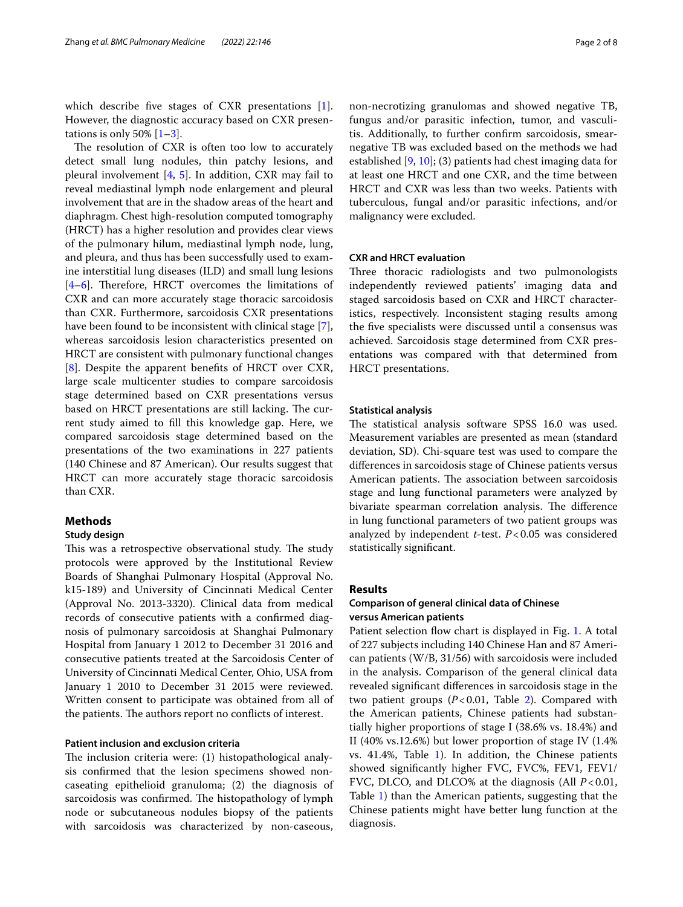which describe fve stages of CXR presentations [\[1](#page-7-0)]. However, the diagnostic accuracy based on CXR presentations is only 50%  $[1-3]$  $[1-3]$ .

The resolution of CXR is often too low to accurately detect small lung nodules, thin patchy lesions, and pleural involvement  $[4, 5]$  $[4, 5]$  $[4, 5]$  $[4, 5]$  $[4, 5]$ . In addition, CXR may fail to reveal mediastinal lymph node enlargement and pleural involvement that are in the shadow areas of the heart and diaphragm. Chest high-resolution computed tomography (HRCT) has a higher resolution and provides clear views of the pulmonary hilum, mediastinal lymph node, lung, and pleura, and thus has been successfully used to examine interstitial lung diseases (ILD) and small lung lesions  $[4–6]$  $[4–6]$  $[4–6]$ . Therefore, HRCT overcomes the limitations of CXR and can more accurately stage thoracic sarcoidosis than CXR. Furthermore, sarcoidosis CXR presentations have been found to be inconsistent with clinical stage [\[7](#page-7-5)], whereas sarcoidosis lesion characteristics presented on HRCT are consistent with pulmonary functional changes [[8\]](#page-7-6). Despite the apparent benefts of HRCT over CXR, large scale multicenter studies to compare sarcoidosis stage determined based on CXR presentations versus based on HRCT presentations are still lacking. The current study aimed to fll this knowledge gap. Here, we compared sarcoidosis stage determined based on the presentations of the two examinations in 227 patients (140 Chinese and 87 American). Our results suggest that HRCT can more accurately stage thoracic sarcoidosis than CXR.

## **Methods**

## **Study design**

This was a retrospective observational study. The study protocols were approved by the Institutional Review Boards of Shanghai Pulmonary Hospital (Approval No. k15-189) and University of Cincinnati Medical Center (Approval No. 2013-3320). Clinical data from medical records of consecutive patients with a confrmed diagnosis of pulmonary sarcoidosis at Shanghai Pulmonary Hospital from January 1 2012 to December 31 2016 and consecutive patients treated at the Sarcoidosis Center of University of Cincinnati Medical Center, Ohio, USA from January 1 2010 to December 31 2015 were reviewed. Written consent to participate was obtained from all of the patients. The authors report no conflicts of interest.

## **Patient inclusion and exclusion criteria**

The inclusion criteria were: (1) histopathological analysis confrmed that the lesion specimens showed noncaseating epithelioid granuloma; (2) the diagnosis of sarcoidosis was confirmed. The histopathology of lymph node or subcutaneous nodules biopsy of the patients with sarcoidosis was characterized by non-caseous, non-necrotizing granulomas and showed negative TB, fungus and/or parasitic infection, tumor, and vasculitis. Additionally, to further confrm sarcoidosis, smearnegative TB was excluded based on the methods we had established [[9,](#page-7-7) [10\]](#page-7-8); (3) patients had chest imaging data for at least one HRCT and one CXR, and the time between HRCT and CXR was less than two weeks. Patients with tuberculous, fungal and/or parasitic infections, and/or malignancy were excluded.

## **CXR and HRCT evaluation**

Three thoracic radiologists and two pulmonologists independently reviewed patients' imaging data and staged sarcoidosis based on CXR and HRCT characteristics, respectively. Inconsistent staging results among the fve specialists were discussed until a consensus was achieved. Sarcoidosis stage determined from CXR presentations was compared with that determined from HRCT presentations.

## **Statistical analysis**

The statistical analysis software SPSS 16.0 was used. Measurement variables are presented as mean (standard deviation, SD). Chi-square test was used to compare the diferences in sarcoidosis stage of Chinese patients versus American patients. The association between sarcoidosis stage and lung functional parameters were analyzed by bivariate spearman correlation analysis. The difference in lung functional parameters of two patient groups was analyzed by independent *t*-test. *P*<0.05 was considered statistically signifcant.

## **Results**

## **Comparison of general clinical data of Chinese versus American patients**

Patient selection fow chart is displayed in Fig. [1.](#page-2-0) A total of 227 subjects including 140 Chinese Han and 87 American patients (W/B, 31/56) with sarcoidosis were included in the analysis. Comparison of the general clinical data revealed signifcant diferences in sarcoidosis stage in the two patient groups (*P*<0.01, Table [2](#page-3-0)). Compared with the American patients, Chinese patients had substantially higher proportions of stage I (38.6% vs. 18.4%) and II (40% vs.12.6%) but lower proportion of stage IV (1.4% vs. 41.4%, Table [1\)](#page-2-1). In addition, the Chinese patients showed signifcantly higher FVC, FVC%, FEV1, FEV1/ FVC, DLCO, and DLCO% at the diagnosis (All *P*<0.01, Table [1\)](#page-2-1) than the American patients, suggesting that the Chinese patients might have better lung function at the diagnosis.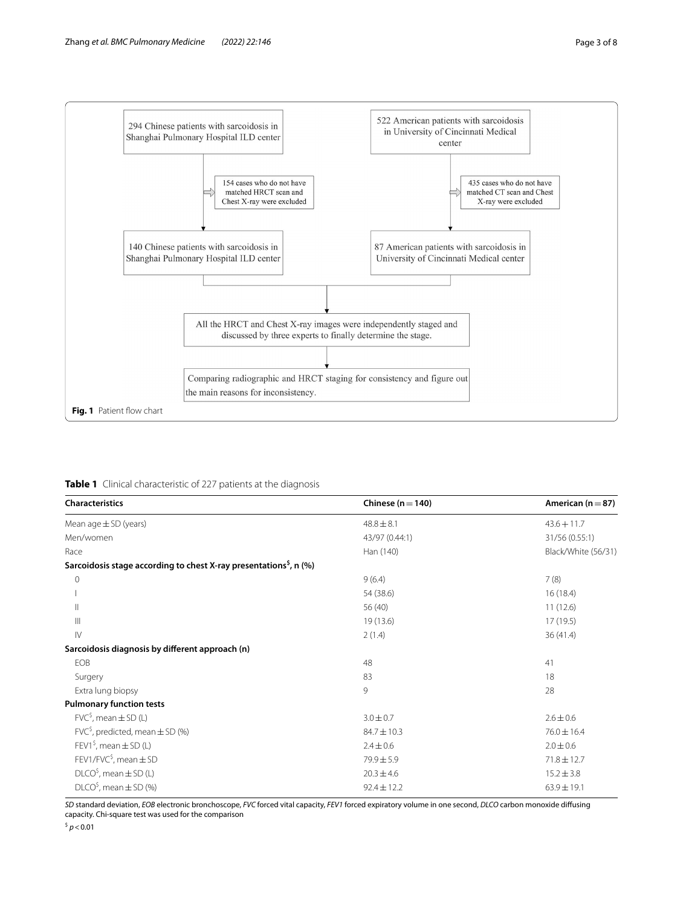

<span id="page-2-1"></span><span id="page-2-0"></span>

|  |  | Table 1 Clinical characteristic of 227 patients at the diagnosis |  |  |  |  |  |
|--|--|------------------------------------------------------------------|--|--|--|--|--|
|--|--|------------------------------------------------------------------|--|--|--|--|--|

| Characteristics                                                               | Chinese ( $n = 140$ ) | American ( $n = 87$ ) |  |
|-------------------------------------------------------------------------------|-----------------------|-----------------------|--|
| Mean $age \pm SD$ (years)                                                     | $48.8 \pm 8.1$        | $43.6 + 11.7$         |  |
| Men/women                                                                     | 43/97 (0.44:1)        | 31/56 (0.55:1)        |  |
| Race                                                                          | Han (140)             | Black/White (56/31)   |  |
| Sarcoidosis stage according to chest X-ray presentations <sup>5</sup> , n (%) |                       |                       |  |
| $\circ$                                                                       | 9(6.4)                | 7(8)                  |  |
|                                                                               | 54 (38.6)             | 16(18.4)              |  |
| $\mathbf{H}$                                                                  | 56 (40)               | 11(12.6)              |  |
| $\mathbb{H}$                                                                  | 19 (13.6)             | 17 (19.5)             |  |
| $\mathsf{IV}$                                                                 | 2(1.4)                | 36(41.4)              |  |
| Sarcoidosis diagnosis by different approach (n)                               |                       |                       |  |
| EOB                                                                           | 48                    | 41                    |  |
| Surgery                                                                       | 83                    | 18                    |  |
| Extra lung biopsy                                                             | 9                     | 28                    |  |
| <b>Pulmonary function tests</b>                                               |                       |                       |  |
| $FVC5$ , mean $\pm$ SD (L)                                                    | $3.0 \pm 0.7$         | $2.6 \pm 0.6$         |  |
| $FVCS$ , predicted, mean $\pm$ SD (%)                                         | $84.7 \pm 10.3$       | $76.0 \pm 16.4$       |  |
| FEV1 <sup>\$</sup> , mean $\pm$ SD (L)                                        | $2.4 \pm 0.6$         | $2.0 \pm 0.6$         |  |
| $FEV1/FVC§$ , mean $\pm$ SD                                                   | $79.9 \pm 5.9$        | $71.8 \pm 12.7$       |  |
| $DICO5$ , mean $\pm$ SD (L)                                                   | $20.3 \pm 4.6$        | $15.2 \pm 3.8$        |  |
| $DICO5$ , mean $\pm$ SD (%)                                                   | $92.4 \pm 12.2$       | $63.9 \pm 19.1$       |  |

*SD* standard deviation, *EOB* electronic bronchoscope, *FVC* forced vital capacity, *FEV1* forced expiratory volume in one second, *DLCO* carbon monoxide difusing capacity. Chi-square test was used for the comparison

 $^{\mathstrut 5}$   $p$  < 0.01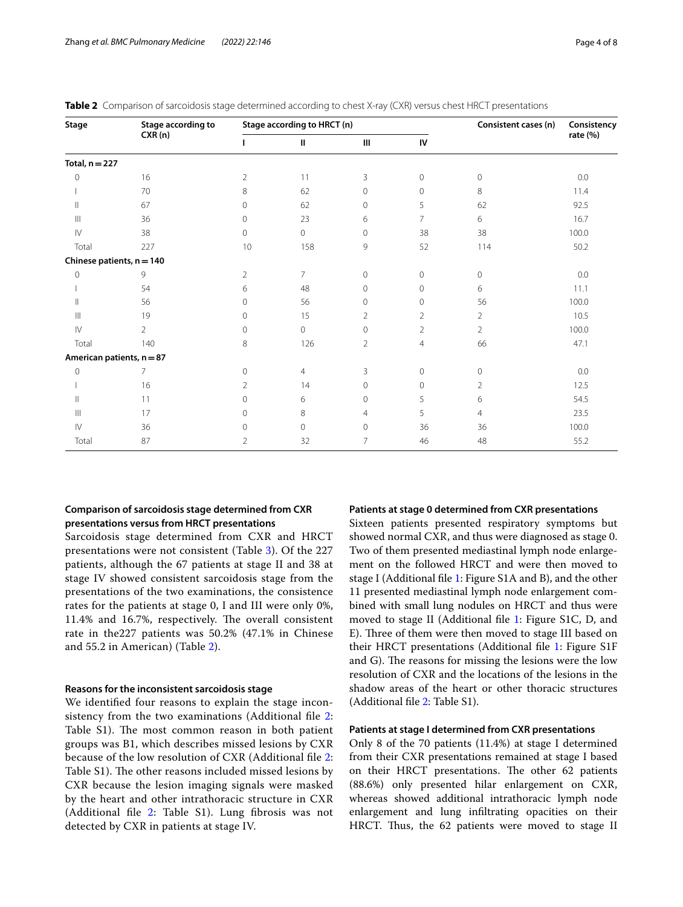| Stage                       | Stage according to        |                | Stage according to HRCT (n) |                | Consistent cases (n) | Consistency    |          |
|-----------------------------|---------------------------|----------------|-----------------------------|----------------|----------------------|----------------|----------|
|                             | CXR(n)                    | L              | $\mathbf{I}$                | III            | IV                   |                | rate (%) |
| Total, $n = 227$            |                           |                |                             |                |                      |                |          |
| $\mathbf{0}$                | 16                        | $\overline{2}$ | 11                          | 3              | $\circ$              | $\circ$        | 0.0      |
|                             | 70                        | 8              | 62                          | $\overline{0}$ | $\circ$              | 8              | 11.4     |
| Ш                           | 67                        | $\circ$        | 62                          | $\mathbf{0}$   | 5                    | 62             | 92.5     |
| Ш                           | 36                        | $\mathbf{0}$   | 23                          | 6              | $\overline{7}$       | 6              | 16.7     |
| ${\mathbb N}$               | 38                        | $\circ$        | $\mathbf 0$                 | $\mathbf 0$    | 38                   | 38             | 100.0    |
| Total                       | 227                       | 10             | 158                         | 9              | 52                   | 114            | 50.2     |
| Chinese patients, $n = 140$ |                           |                |                             |                |                      |                |          |
| 0                           | 9                         | $\overline{2}$ | $\overline{7}$              | $\mathbf{0}$   | $\circ$              | 0              | 0.0      |
|                             | 54                        | 6              | 48                          | $\mathbf 0$    | $\circ$              | 6              | 11.1     |
| Ш                           | 56                        | 0              | 56                          | $\mathbf 0$    | $\mathsf{O}\xspace$  | 56             | 100.0    |
| $\mathbb{H}$                | 19                        | $\mathbf{0}$   | 15                          | $\overline{2}$ | $\overline{2}$       | $\overline{2}$ | 10.5     |
| $\mathsf{IV}$               | $\overline{2}$            | 0              | $\mathbf 0$                 | $\circ$        | $\overline{2}$       | $\overline{2}$ | 100.0    |
| Total                       | 140                       | 8              | 126                         | $\overline{2}$ | $\overline{4}$       | 66             | 47.1     |
|                             | American patients, n = 87 |                |                             |                |                      |                |          |
| 0                           | 7                         | $\mathbf{0}$   | 4                           | 3              | $\circ$              | 0              | 0.0      |
|                             | 16                        | 2              | 14                          | $\circ$        | 0                    | $\overline{2}$ | 12.5     |
| Ш                           | 11                        | 0              | 6                           | $\circ$        | 5                    | 6              | 54.5     |
| $\mathbb{H}$                | 17                        | $\mathbf{0}$   | 8                           | 4              | 5                    | $\overline{4}$ | 23.5     |
| $\mathsf{IV}$               | 36                        | 0              | 0                           | $\circ$        | 36                   | 36             | 100.0    |
| Total                       | 87                        | 2              | 32                          | 7              | 46                   | 48             | 55.2     |

<span id="page-3-0"></span>**Table 2** Comparison of sarcoidosis stage determined according to chest X-ray (CXR) versus chest HRCT presentations

## **Comparison of sarcoidosis stage determined from CXR presentations versus from HRCT presentations**

Sarcoidosis stage determined from CXR and HRCT presentations were not consistent (Table [3\)](#page-3-0). Of the 227 patients, although the 67 patients at stage II and 38 at stage IV showed consistent sarcoidosis stage from the presentations of the two examinations, the consistence rates for the patients at stage 0, I and III were only 0%, 11.4% and 16.7%, respectively. The overall consistent rate in the227 patients was 50.2% (47.1% in Chinese and 55.2 in American) (Table [2\)](#page-3-0).

## **Reasons for the inconsistent sarcoidosis stage**

We identifed four reasons to explain the stage incon-sistency from the two examinations (Additional file [2](#page-6-0): Table S1). The most common reason in both patient groups was B1, which describes missed lesions by CXR because of the low resolution of CXR (Additional fle [2](#page-6-0): Table S1). The other reasons included missed lesions by CXR because the lesion imaging signals were masked by the heart and other intrathoracic structure in CXR (Additional file [2:](#page-6-0) Table S1). Lung fibrosis was not detected by CXR in patients at stage IV.

#### **Patients at stage 0 determined from CXR presentations**

Sixteen patients presented respiratory symptoms but showed normal CXR, and thus were diagnosed as stage 0. Two of them presented mediastinal lymph node enlargement on the followed HRCT and were then moved to stage I (Additional fle [1:](#page-6-1) Figure S1A and B), and the other 11 presented mediastinal lymph node enlargement combined with small lung nodules on HRCT and thus were moved to stage II (Additional fle [1](#page-6-1): Figure S1C, D, and E). Three of them were then moved to stage III based on their HRCT presentations (Additional fle [1](#page-6-1): Figure S1F and  $G$ ). The reasons for missing the lesions were the low resolution of CXR and the locations of the lesions in the shadow areas of the heart or other thoracic structures (Additional fle [2](#page-6-0): Table S1).

## **Patients at stage I determined from CXR presentations**

Only 8 of the 70 patients (11.4%) at stage I determined from their CXR presentations remained at stage I based on their HRCT presentations. The other 62 patients (88.6%) only presented hilar enlargement on CXR, whereas showed additional intrathoracic lymph node enlargement and lung infltrating opacities on their HRCT. Thus, the 62 patients were moved to stage II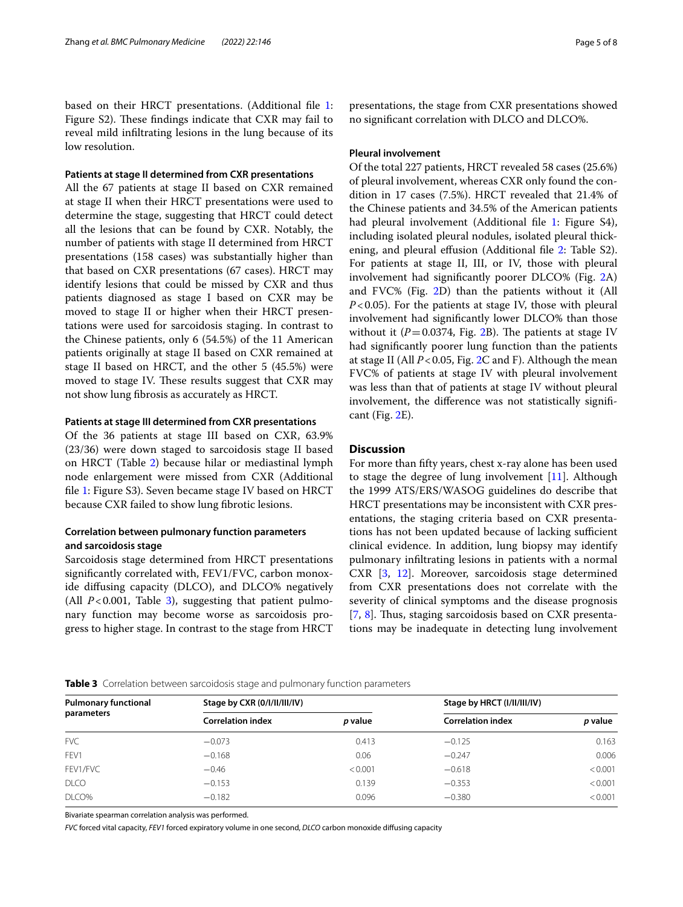based on their HRCT presentations. (Additional fle [1](#page-6-1): Figure S2). These findings indicate that CXR may fail to reveal mild infltrating lesions in the lung because of its low resolution.

## **Patients at stage II determined from CXR presentations**

All the 67 patients at stage II based on CXR remained at stage II when their HRCT presentations were used to determine the stage, suggesting that HRCT could detect all the lesions that can be found by CXR. Notably, the number of patients with stage II determined from HRCT presentations (158 cases) was substantially higher than that based on CXR presentations (67 cases). HRCT may identify lesions that could be missed by CXR and thus patients diagnosed as stage I based on CXR may be moved to stage II or higher when their HRCT presentations were used for sarcoidosis staging. In contrast to the Chinese patients, only 6 (54.5%) of the 11 American patients originally at stage II based on CXR remained at stage II based on HRCT, and the other 5 (45.5%) were moved to stage IV. These results suggest that CXR may not show lung fbrosis as accurately as HRCT.

#### **Patients at stage III determined from CXR presentations**

Of the 36 patients at stage III based on CXR, 63.9% (23/36) were down staged to sarcoidosis stage II based on HRCT (Table [2\)](#page-3-0) because hilar or mediastinal lymph node enlargement were missed from CXR (Additional fle [1:](#page-6-1) Figure S3). Seven became stage IV based on HRCT because CXR failed to show lung fbrotic lesions.

## **Correlation between pulmonary function parameters and sarcoidosis stage**

Sarcoidosis stage determined from HRCT presentations signifcantly correlated with, FEV1/FVC, carbon monoxide difusing capacity (DLCO), and DLCO% negatively (All  $P < 0.001$ , Table [3\)](#page-4-0), suggesting that patient pulmonary function may become worse as sarcoidosis progress to higher stage. In contrast to the stage from HRCT presentations, the stage from CXR presentations showed no signifcant correlation with DLCO and DLCO%.

## **Pleural involvement**

Of the total 227 patients, HRCT revealed 58 cases (25.6%) of pleural involvement, whereas CXR only found the condition in 17 cases (7.5%). HRCT revealed that 21.4% of the Chinese patients and 34.5% of the American patients had pleural involvement (Additional file [1:](#page-6-1) Figure S4), including isolated pleural nodules, isolated pleural thick-ening, and pleural effusion (Additional file [2:](#page-6-0) Table S2). For patients at stage II, III, or IV, those with pleural involvement had signifcantly poorer DLCO% (Fig. [2](#page-5-0)A) and FVC% (Fig. [2D](#page-5-0)) than the patients without it (All *P*<0.05). For the patients at stage IV, those with pleural involvement had signifcantly lower DLCO% than those without it  $(P=0.0374,$  Fig. [2B](#page-5-0)). The patients at stage IV had signifcantly poorer lung function than the patients at stage II (All *P*<0.05, Fig. [2](#page-5-0)C and F). Although the mean FVC% of patients at stage IV with pleural involvement was less than that of patients at stage IV without pleural involvement, the diference was not statistically signifcant (Fig. [2E](#page-5-0)).

## **Discussion**

For more than ffty years, chest x-ray alone has been used to stage the degree of lung involvement [[11\]](#page-7-9). Although the 1999 ATS/ERS/WASOG guidelines do describe that HRCT presentations may be inconsistent with CXR presentations, the staging criteria based on CXR presentations has not been updated because of lacking sufficient clinical evidence. In addition, lung biopsy may identify pulmonary infltrating lesions in patients with a normal CXR [\[3](#page-7-1), [12\]](#page-7-10). Moreover, sarcoidosis stage determined from CXR presentations does not correlate with the severity of clinical symptoms and the disease prognosis [[7,](#page-7-5) [8](#page-7-6)]. Thus, staging sarcoidosis based on CXR presentations may be inadequate in detecting lung involvement

#### <span id="page-4-0"></span>**Table 3** Correlation between sarcoidosis stage and pulmonary function parameters

| <b>Pulmonary functional</b> | Stage by CXR (0/l/ll/ll/lV) |         | Stage by HRCT (I/II/III/IV) |                       |  |
|-----------------------------|-----------------------------|---------|-----------------------------|-----------------------|--|
| parameters                  | <b>Correlation index</b>    | p value | <b>Correlation index</b>    | <i><b>p</b></i> value |  |
| <b>FVC</b>                  | $-0.073$                    | 0.413   | $-0.125$                    | 0.163                 |  |
| FFV1                        | $-0.168$                    | 0.06    | $-0.247$                    | 0.006                 |  |
| FEV1/FVC                    | $-0.46$                     | < 0.001 | $-0.618$                    | < 0.001               |  |
| <b>DLCO</b>                 | $-0.153$                    | 0.139   | $-0.353$                    | < 0.001               |  |
| DLCO%                       | $-0.182$                    | 0.096   | $-0.380$                    | < 0.001               |  |

Bivariate spearman correlation analysis was performed.

*FVC* forced vital capacity, *FEV1* forced expiratory volume in one second, *DLCO* carbon monoxide difusing capacity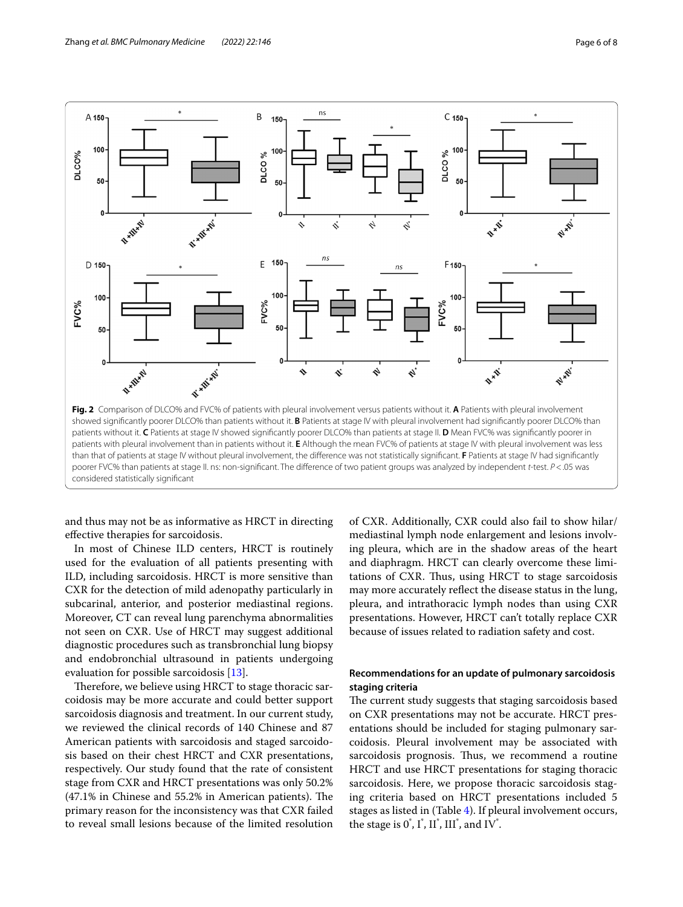

<span id="page-5-0"></span>and thus may not be as informative as HRCT in directing efective therapies for sarcoidosis.

In most of Chinese ILD centers, HRCT is routinely used for the evaluation of all patients presenting with ILD, including sarcoidosis. HRCT is more sensitive than CXR for the detection of mild adenopathy particularly in subcarinal, anterior, and posterior mediastinal regions. Moreover, CT can reveal lung parenchyma abnormalities not seen on CXR. Use of HRCT may suggest additional diagnostic procedures such as transbronchial lung biopsy and endobronchial ultrasound in patients undergoing evaluation for possible sarcoidosis [\[13](#page-7-11)].

Therefore, we believe using HRCT to stage thoracic sarcoidosis may be more accurate and could better support sarcoidosis diagnosis and treatment. In our current study, we reviewed the clinical records of 140 Chinese and 87 American patients with sarcoidosis and staged sarcoidosis based on their chest HRCT and CXR presentations, respectively. Our study found that the rate of consistent stage from CXR and HRCT presentations was only 50.2%  $(47.1\%$  in Chinese and 55.2% in American patients). The primary reason for the inconsistency was that CXR failed to reveal small lesions because of the limited resolution of CXR. Additionally, CXR could also fail to show hilar/ mediastinal lymph node enlargement and lesions involving pleura, which are in the shadow areas of the heart and diaphragm. HRCT can clearly overcome these limitations of CXR. Thus, using HRCT to stage sarcoidosis may more accurately refect the disease status in the lung, pleura, and intrathoracic lymph nodes than using CXR presentations. However, HRCT can't totally replace CXR because of issues related to radiation safety and cost.

## **Recommendations for an update of pulmonary sarcoidosis staging criteria**

The current study suggests that staging sarcoidosis based on CXR presentations may not be accurate. HRCT presentations should be included for staging pulmonary sarcoidosis. Pleural involvement may be associated with sarcoidosis prognosis. Thus, we recommend a routine HRCT and use HRCT presentations for staging thoracic sarcoidosis. Here, we propose thoracic sarcoidosis staging criteria based on HRCT presentations included 5 stages as listed in (Table [4\)](#page-6-2). If pleural involvement occurs, the stage is  $0^{\dagger}$ ,  $I^{\dagger}$ ,  $II^{\dagger}$ ,  $III^{\dagger}$ , and  $IV^{\dagger}$ .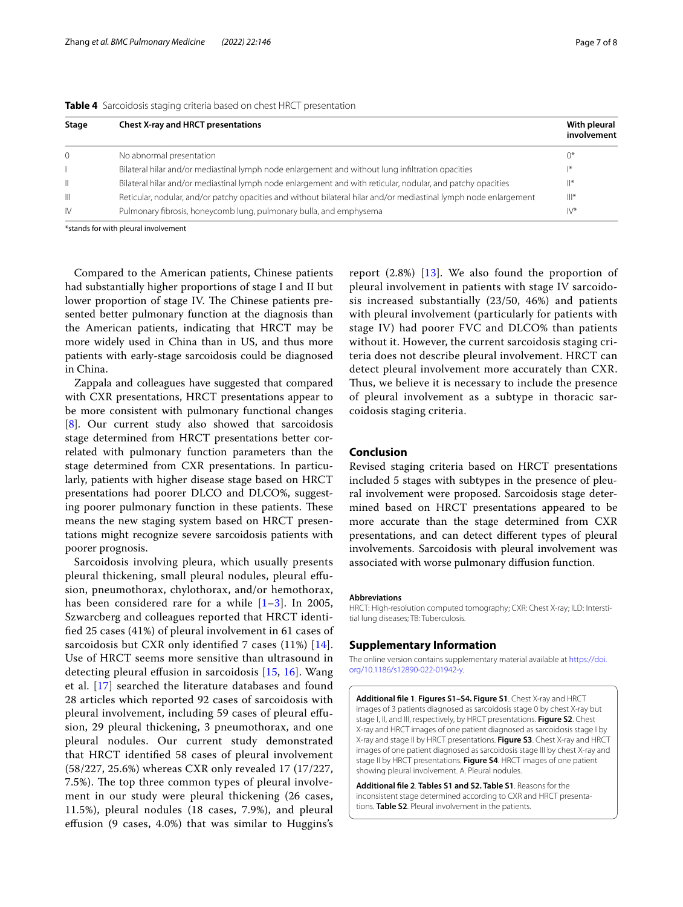<span id="page-6-2"></span>

|  |  |  |  |  |  | Table 4 Sarcoidosis staging criteria based on chest HRCT presentation |
|--|--|--|--|--|--|-----------------------------------------------------------------------|
|--|--|--|--|--|--|-----------------------------------------------------------------------|

| Stage        | <b>Chest X-ray and HRCT presentations</b>                                                                         | With pleural<br>involvement |  |
|--------------|-------------------------------------------------------------------------------------------------------------------|-----------------------------|--|
| $\Omega$     | No abnormal presentation                                                                                          | $0^*$                       |  |
|              | Bilateral hilar and/or mediastinal lymph node enlargement and without lung infiltration opacities                 | $ *$                        |  |
| Ш            | Bilateral hilar and/or mediastinal lymph node enlargement and with reticular, nodular, and patchy opacities       | $\mathbb{I}^*$              |  |
| Ш            | Reticular, nodular, and/or patchy opacities and without bilateral hilar and/or mediastinal lymph node enlargement | $   $ *                     |  |
| $\mathsf{N}$ | Pulmonary fibrosis, honeycomb lung, pulmonary bulla, and emphysema                                                | $IV^*$                      |  |

\*stands for with pleural involvement

Compared to the American patients, Chinese patients had substantially higher proportions of stage I and II but lower proportion of stage IV. The Chinese patients presented better pulmonary function at the diagnosis than the American patients, indicating that HRCT may be more widely used in China than in US, and thus more patients with early-stage sarcoidosis could be diagnosed in China.

Zappala and colleagues have suggested that compared with CXR presentations, HRCT presentations appear to be more consistent with pulmonary functional changes [[8\]](#page-7-6). Our current study also showed that sarcoidosis stage determined from HRCT presentations better correlated with pulmonary function parameters than the stage determined from CXR presentations. In particularly, patients with higher disease stage based on HRCT presentations had poorer DLCO and DLCO%, suggesting poorer pulmonary function in these patients. These means the new staging system based on HRCT presentations might recognize severe sarcoidosis patients with poorer prognosis.

Sarcoidosis involving pleura, which usually presents pleural thickening, small pleural nodules, pleural efusion, pneumothorax, chylothorax, and/or hemothorax, has been considered rare for a while  $[1-3]$  $[1-3]$ . In 2005, Szwarcberg and colleagues reported that HRCT identifed 25 cases (41%) of pleural involvement in 61 cases of sarcoidosis but CXR only identified 7 cases (11%) [[14\]](#page-7-12). Use of HRCT seems more sensitive than ultrasound in detecting pleural efusion in sarcoidosis [[15](#page-7-13), [16\]](#page-7-14). Wang et al. [[17](#page-7-15)] searched the literature databases and found 28 articles which reported 92 cases of sarcoidosis with pleural involvement, including 59 cases of pleural efusion, 29 pleural thickening, 3 pneumothorax, and one pleural nodules. Our current study demonstrated that HRCT identifed 58 cases of pleural involvement (58/227, 25.6%) whereas CXR only revealed 17 (17/227, 7.5%). The top three common types of pleural involvement in our study were pleural thickening (26 cases, 11.5%), pleural nodules (18 cases, 7.9%), and pleural efusion (9 cases, 4.0%) that was similar to Huggins's report (2.8%) [\[13\]](#page-7-11). We also found the proportion of pleural involvement in patients with stage IV sarcoidosis increased substantially (23/50, 46%) and patients with pleural involvement (particularly for patients with stage IV) had poorer FVC and DLCO% than patients without it. However, the current sarcoidosis staging criteria does not describe pleural involvement. HRCT can detect pleural involvement more accurately than CXR. Thus, we believe it is necessary to include the presence of pleural involvement as a subtype in thoracic sarcoidosis staging criteria.

## **Conclusion**

Revised staging criteria based on HRCT presentations included 5 stages with subtypes in the presence of pleural involvement were proposed. Sarcoidosis stage determined based on HRCT presentations appeared to be more accurate than the stage determined from CXR presentations, and can detect diferent types of pleural involvements. Sarcoidosis with pleural involvement was associated with worse pulmonary difusion function.

#### **Abbreviations**

HRCT: High-resolution computed tomography; CXR: Chest X-ray; ILD: Interstitial lung diseases; TB: Tuberculosis.

#### **Supplementary Information**

The online version contains supplementary material available at [https://doi.](https://doi.org/10.1186/s12890-022-01942-y) [org/10.1186/s12890-022-01942-y.](https://doi.org/10.1186/s12890-022-01942-y)

<span id="page-6-1"></span>**Additional fle 1**. **Figures S1–S4. Figure S1**. Chest X-ray and HRCT images of 3 patients diagnosed as sarcoidosis stage 0 by chest X-ray but stage I, II, and III, respectively, by HRCT presentations. **Figure S2**. Chest X-ray and HRCT images of one patient diagnosed as sarcoidosis stage I by X-ray and stage II by HRCT presentations. **Figure S3**. Chest X-ray and HRCT images of one patient diagnosed as sarcoidosis stage III by chest X-ray and stage II by HRCT presentations. **Figure S4**. HRCT images of one patient showing pleural involvement. A. Pleural nodules.

<span id="page-6-0"></span>**Additional fle 2**. **Tables S1 and S2. Table S1**. Reasons for the inconsistent stage determined according to CXR and HRCT presentations. **Table S2**. Pleural involvement in the patients.